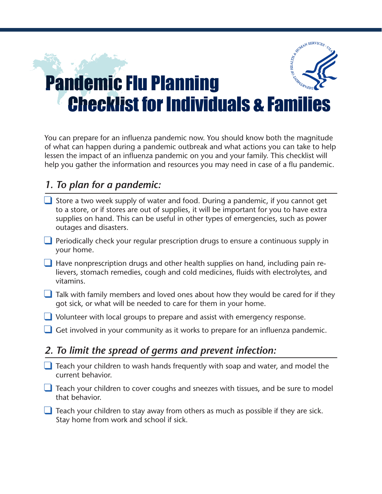## E REALITY OF SERVICES Pandemic Flu Planning Checklist for Individuals & Families

You can prepare for an influenza pandemic now. You should know both the magnitude of what can happen during a pandemic outbreak and what actions you can take to help lessen the impact of an influenza pandemic on you and your family. This checklist will help you gather the information and resources you may need in case of a flu pandemic.

## *1. To plan for a pandemic:*

- $\Box$  Store a two week supply of water and food. During a pandemic, if you cannot get to a store, or if stores are out of supplies, it will be important for you to have extra supplies on hand. This can be useful in other types of emergencies, such as power outages and disasters.
- $\Box$  Periodically check your regular prescription drugs to ensure a continuous supply in your home.
- $\Box$  Have nonprescription drugs and other health supplies on hand, including pain relievers, stomach remedies, cough and cold medicines, fluids with electrolytes, and vitamins.
- $\Box$  Talk with family members and loved ones about how they would be cared for if they got sick, or what will be needed to care for them in your home.
- **J** Volunteer with local groups to prepare and assist with emergency response.
- Get involved in your community as it works to prepare for an influenza pandemic.

## *2. To limit the spread of germs and prevent infection:*

- $\Box$  Teach your children to wash hands frequently with soap and water, and model the current behavior.
- $\Box$  Teach your children to cover coughs and sneezes with tissues, and be sure to model that behavior.
- $\Box$  Teach your children to stay away from others as much as possible if they are sick. Stay home from work and school if sick.